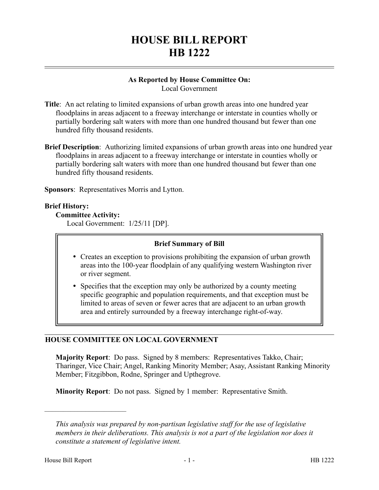# **HOUSE BILL REPORT HB 1222**

# **As Reported by House Committee On:**

Local Government

- **Title**: An act relating to limited expansions of urban growth areas into one hundred year floodplains in areas adjacent to a freeway interchange or interstate in counties wholly or partially bordering salt waters with more than one hundred thousand but fewer than one hundred fifty thousand residents.
- **Brief Description**: Authorizing limited expansions of urban growth areas into one hundred year floodplains in areas adjacent to a freeway interchange or interstate in counties wholly or partially bordering salt waters with more than one hundred thousand but fewer than one hundred fifty thousand residents.

**Sponsors**: Representatives Morris and Lytton.

# **Brief History:**

# **Committee Activity:**

Local Government: 1/25/11 [DP].

### **Brief Summary of Bill**

- Creates an exception to provisions prohibiting the expansion of urban growth areas into the 100-year floodplain of any qualifying western Washington river or river segment.
- Specifies that the exception may only be authorized by a county meeting specific geographic and population requirements, and that exception must be limited to areas of seven or fewer acres that are adjacent to an urban growth area and entirely surrounded by a freeway interchange right-of-way.

# **HOUSE COMMITTEE ON LOCAL GOVERNMENT**

**Majority Report**: Do pass. Signed by 8 members: Representatives Takko, Chair; Tharinger, Vice Chair; Angel, Ranking Minority Member; Asay, Assistant Ranking Minority Member; Fitzgibbon, Rodne, Springer and Upthegrove.

**Minority Report**: Do not pass. Signed by 1 member: Representative Smith.

––––––––––––––––––––––

*This analysis was prepared by non-partisan legislative staff for the use of legislative members in their deliberations. This analysis is not a part of the legislation nor does it constitute a statement of legislative intent.*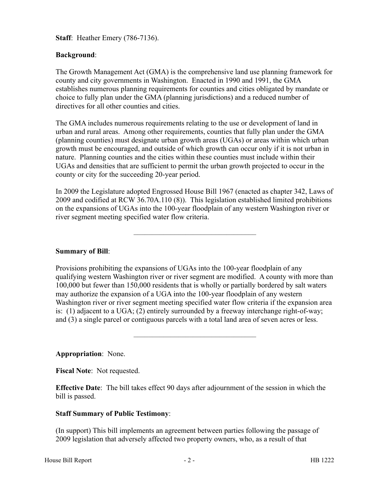**Staff**: Heather Emery (786-7136).

#### **Background**:

The Growth Management Act (GMA) is the comprehensive land use planning framework for county and city governments in Washington. Enacted in 1990 and 1991, the GMA establishes numerous planning requirements for counties and cities obligated by mandate or choice to fully plan under the GMA (planning jurisdictions) and a reduced number of directives for all other counties and cities.

The GMA includes numerous requirements relating to the use or development of land in urban and rural areas. Among other requirements, counties that fully plan under the GMA (planning counties) must designate urban growth areas (UGAs) or areas within which urban growth must be encouraged, and outside of which growth can occur only if it is not urban in nature. Planning counties and the cities within these counties must include within their UGAs and densities that are sufficient to permit the urban growth projected to occur in the county or city for the succeeding 20-year period.

In 2009 the Legislature adopted Engrossed House Bill 1967 (enacted as chapter 342, Laws of 2009 and codified at RCW 36.70A.110 (8)). This legislation established limited prohibitions on the expansions of UGAs into the 100-year floodplain of any western Washington river or river segment meeting specified water flow criteria.

–––––––––––––––––––––––––––––––––

#### **Summary of Bill**:

Provisions prohibiting the expansions of UGAs into the 100-year floodplain of any qualifying western Washington river or river segment are modified. A county with more than 100,000 but fewer than 150,000 residents that is wholly or partially bordered by salt waters may authorize the expansion of a UGA into the 100-year floodplain of any western Washington river or river segment meeting specified water flow criteria if the expansion area is: (1) adjacent to a UGA; (2) entirely surrounded by a freeway interchange right-of-way; and (3) a single parcel or contiguous parcels with a total land area of seven acres or less.

–––––––––––––––––––––––––––––––––

#### **Appropriation**: None.

**Fiscal Note**: Not requested.

**Effective Date**: The bill takes effect 90 days after adjournment of the session in which the bill is passed.

#### **Staff Summary of Public Testimony**:

(In support) This bill implements an agreement between parties following the passage of 2009 legislation that adversely affected two property owners, who, as a result of that